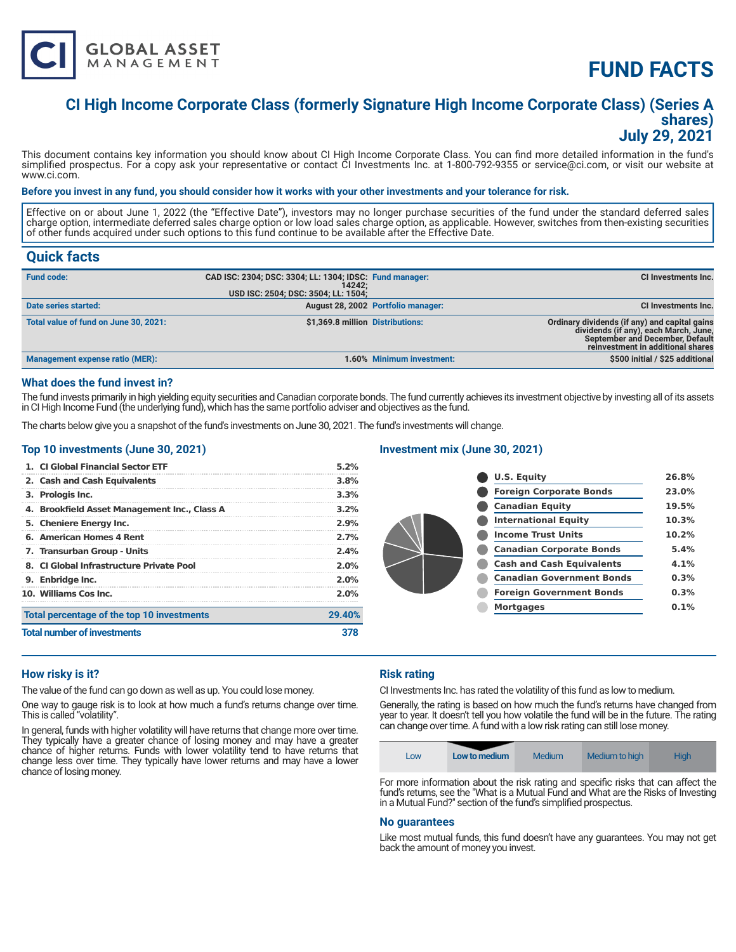

# **FUND FACTS**

### **CI High Income Corporate Class (formerly Signature High Income Corporate Class) (Series A shares) July 29, 2021**

This document contains key information you should know about CI High Income Corporate Class. You can find more detailed information in the fund's simplified prospectus. For a copy ask your representative or contact CI Investments Inc. at 1-800-792-9355 or service@ci.com, or visit our website at www.ci.com.

#### **Before you invest in any fund, you should consider how it works with your other investments and your tolerance for risk.**

Effective on or about June 1, 2022 (the "Effective Date"), investors may no longer purchase securities of the fund under the standard deferred sales charge option, intermediate deferred sales charge option or low load sales charge option, as applicable. However, switches from then-existing securities of other funds acquired under such options to this fund continue to be available after the Effective Date.

### **Quick facts**

| <b>Fund code:</b>                      | CAD ISC: 2304; DSC: 3304; LL: 1304; IDSC: Fund manager:<br>14242:<br>USD ISC: 2504; DSC: 3504; LL: 1504; |                                    | CI Investments Inc.                                                                                                                                            |
|----------------------------------------|----------------------------------------------------------------------------------------------------------|------------------------------------|----------------------------------------------------------------------------------------------------------------------------------------------------------------|
| Date series started:                   |                                                                                                          | August 28, 2002 Portfolio manager: | <b>CI Investments Inc.</b>                                                                                                                                     |
| Total value of fund on June 30, 2021:  | \$1,369.8 million Distributions:                                                                         |                                    | Ordinary dividends (if any) and capital gains<br>dividends (if any), each March, June,<br>September and December, Default<br>reinvestment in additional shares |
| <b>Management expense ratio (MER):</b> |                                                                                                          | 1.60% Minimum investment:          | \$500 initial / \$25 additional                                                                                                                                |

#### **What does the fund invest in?**

The fund invests primarily in high yielding equity securities and Canadian corporate bonds. The fund currently achieves its investment objective by investing all of its assets in CI High Income Fund (the underlying fund), which has the same portfolio adviser and objectives as the fund.

The charts below give you a snapshot of the fund's investments on June 30, 2021. The fund's investments will change.

#### **Top 10 investments (June 30, 2021)**

|                                    | 1. CI Global Financial Sector ETF            | $5.2\%$ |
|------------------------------------|----------------------------------------------|---------|
|                                    | 2. Cash and Cash Equivalents                 | 3.8%    |
|                                    | 3. Prologis Inc.                             | 3.3%    |
|                                    | 4. Brookfield Asset Management Inc., Class A | 3.2%    |
|                                    | 5. Cheniere Energy Inc.                      | 2.9%    |
|                                    | 6. American Homes 4 Rent                     | 2.7%    |
|                                    | 7. Transurban Group - Units                  | 2.4%    |
|                                    | 8. CI Global Infrastructure Private Pool     | 2.0%    |
|                                    | 9. Enbridge Inc.                             | $2.0\%$ |
|                                    | 10. Williams Cos Inc.                        | 2.0%    |
|                                    | Total percentage of the top 10 investments   | 29.40%  |
| <b>Total number of investments</b> |                                              |         |

#### **Investment mix (June 30, 2021)**

| <b>U.S. Equity</b>               | 26.8% |
|----------------------------------|-------|
| <b>Foreign Corporate Bonds</b>   | 23.0% |
| <b>Canadian Equity</b>           | 19.5% |
| <b>International Equity</b>      | 10.3% |
| <b>Income Trust Units</b>        | 10.2% |
| <b>Canadian Corporate Bonds</b>  | 5.4%  |
| <b>Cash and Cash Equivalents</b> | 4.1%  |
| <b>Canadian Government Bonds</b> | 0.3%  |
| <b>Foreign Government Bonds</b>  | 0.3%  |
| <b>Mortgages</b>                 | 0.1%  |
|                                  |       |

#### **How risky is it?**

The value of the fund can go down as well as up. You could lose money.

One way to gauge risk is to look at how much a fund's returns change over time. This is called "volatility".

In general, funds with higher volatility will have returns that change more over time. They typically have a greater chance of losing money and may have a greater chance of higher returns. Funds with lower volatility tend to have returns that change less over time. They typically have lower returns and may have a lower chance of losing money.

#### **Risk rating**

CI Investments Inc. has rated the volatility of this fund as low to medium.

Generally, the rating is based on how much the fund's returns have changed from year to year. It doesn't tell you how volatile the fund will be in the future. The rating can change over time. A fund with a low risk rating can still lose money.

| Low | Low to medium | Medium | Medium to high | <b>High</b>   |
|-----|---------------|--------|----------------|---------------|
| . . | .<br>$\sim$   | $\sim$ | $\sim$         | $\sim$ $\sim$ |

For more information about the risk rating and specific risks that can affect the fund's returns, see the "What is a Mutual Fund and What are the Risks of Investing in a Mutual Fund?" section of the fund's simplified prospectus.

#### **No guarantees**

Like most mutual funds, this fund doesn't have any guarantees. You may not get back the amount of money you invest.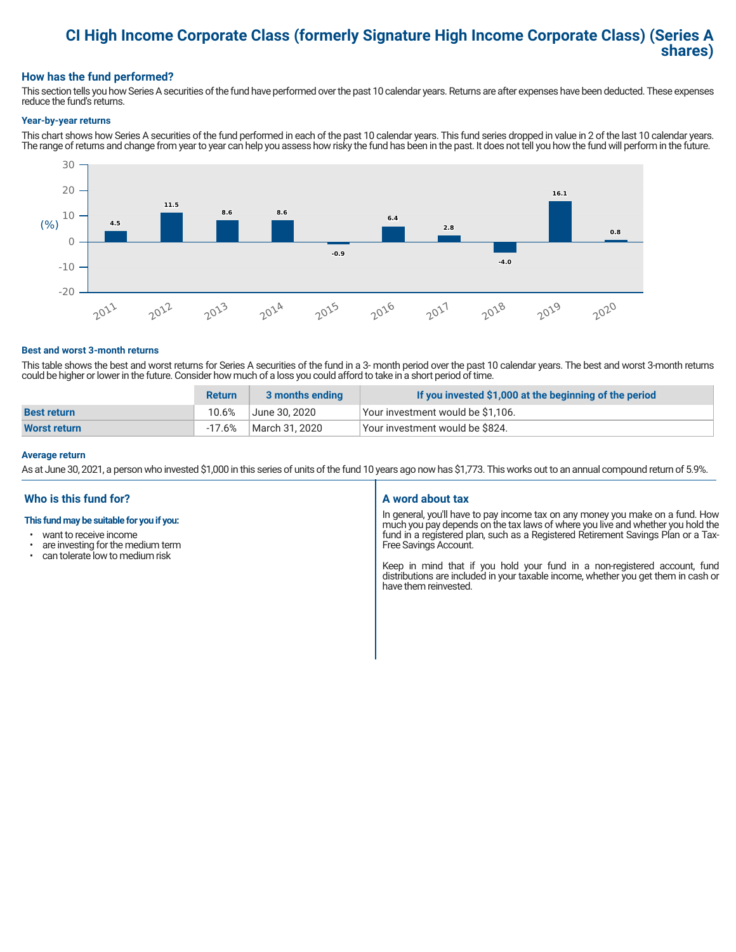### **CI High Income Corporate Class (formerly Signature High Income Corporate Class) (Series A shares)**

#### **How has the fund performed?**

This section tells you how Series A securities of the fund have performed over the past 10 calendar years. Returns are after expenses have been deducted. These expenses reduce the fund's returns.

#### **Year-by-year returns**

This chart shows how Series A securities of the fund performed in each of the past 10 calendar years. This fund series dropped in value in 2 of the last 10 calendar years. The range of returns and change from year to year can help you assess how risky the fund has been in the past. It does not tell you how the fund will perform in the future.



#### **Best and worst 3-month returns**

This table shows the best and worst returns for Series A securities of the fund in a 3- month period over the past 10 calendar years. The best and worst 3-month returns could be higher or lower in the future. Consider how much of a loss you could afford to take in a short period of time.

|                     | <b>Return</b> | 3 months ending | If you invested \$1,000 at the beginning of the period |
|---------------------|---------------|-----------------|--------------------------------------------------------|
| <b>Best return</b>  | 10.6%         | June 30. 2020   | Your investment would be \$1,106.                      |
| <b>Worst return</b> | -17.6%        | March 31, 2020  | Vour investment would be \$824.                        |

#### **Average return**

As at June 30, 2021, a person who invested \$1,000 in this series of units of the fund 10 years ago now has \$1,773. This works out to an annual compound return of 5.9%.

#### **Who is this fund for?**

#### **This fund may be suitable for you if you:**

- want to receive income
- are investing for the medium term<br>• can telerate low to medium risk
- can tolerate low to medium risk

#### **A word about tax**

In general, you'll have to pay income tax on any money you make on a fund. How much you pay depends on the tax laws of where you live and whether you hold the fund in a registered plan, such as a Registered Retirement Savings Plan or a Tax-Free Savings Account.

Keep in mind that if you hold your fund in a non-registered account, fund distributions are included in your taxable income, whether you get them in cash or have them reinvested.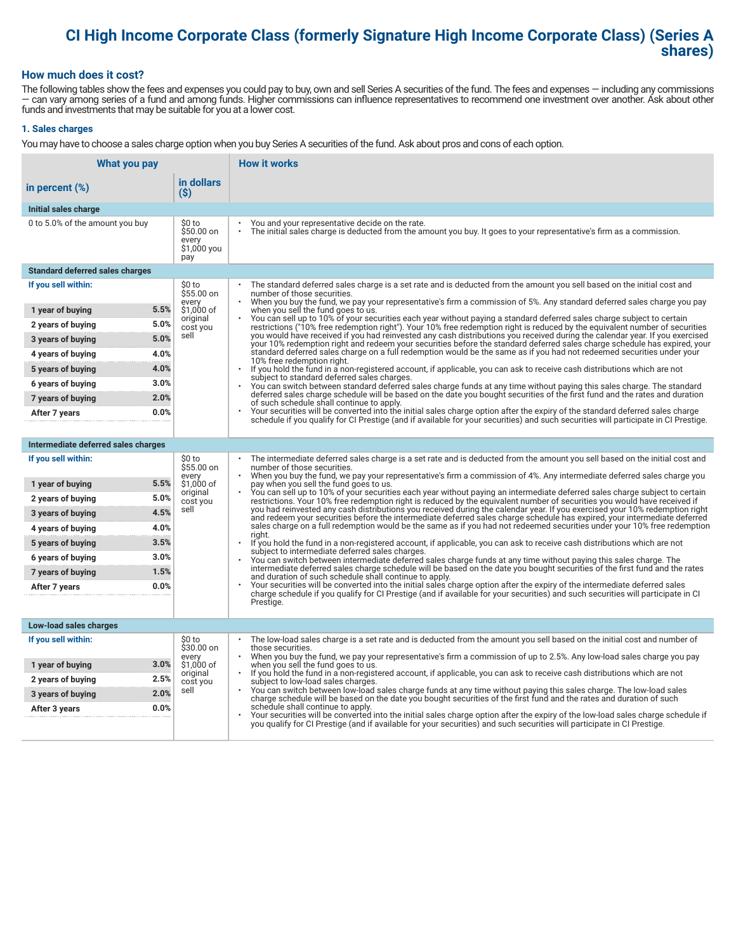## **CI High Income Corporate Class (formerly Signature High Income Corporate Class) (Series A shares)**

#### **How much does it cost?**

The following tables show the fees and expenses you could pay to buy, own and sell Series A securities of the fund. The fees and expenses — including any commissions — can vary among series of a fund and among funds. Higher commissions can influence representatives to recommend one investment over another. Ask about other funds and investments that may be suitable for you at a lower cost.

#### **1. Sales charges**

You may have to choose a sales charge option when you buy Series A securities of the fund. Ask about pros and cons of each option.

| What you pay                           |                                                     | <b>How it works</b>                                                                                                                                                                                                                                                                   |
|----------------------------------------|-----------------------------------------------------|---------------------------------------------------------------------------------------------------------------------------------------------------------------------------------------------------------------------------------------------------------------------------------------|
| in percent (%)                         | in dollars<br>$(\$)$                                |                                                                                                                                                                                                                                                                                       |
| Initial sales charge                   |                                                     |                                                                                                                                                                                                                                                                                       |
| 0 to 5.0% of the amount you buy        | \$0 to<br>\$50.00 on<br>every<br>\$1,000 you<br>pay | You and your representative decide on the rate.<br>$\bullet$<br>The initial sales charge is deducted from the amount you buy. It goes to your representative's firm as a commission.                                                                                                  |
| <b>Standard deferred sales charges</b> |                                                     |                                                                                                                                                                                                                                                                                       |
| If you sell within:                    | \$0 to<br>\$55.00 on                                | The standard deferred sales charge is a set rate and is deducted from the amount you sell based on the initial cost and<br>number of those securities.                                                                                                                                |
| 1 year of buying                       | every<br>5.5%<br>\$1,000 of                         | When you buy the fund, we pay your representative's firm a commission of 5%. Any standard deferred sales charge you pay<br>when you sell the fund goes to us.                                                                                                                         |
| 2 years of buying                      | original<br>5.0%<br>cost you                        | You can sell up to 10% of your securities each year without paying a standard deferred sales charge subject to certain<br>restrictions ("10% free redemption right"). Your 10% free redemption right is reduced by the equivalent number of securities                                |
| 3 years of buying                      | sell<br>5.0%                                        | you would have received if you had reinvested any cash distributions you received during the calendar year. If you exercised<br>your 10% redemption right and redeem your securities before the standard deferred sales charge schedule has expired, your                             |
| 4 years of buying                      | 4.0%                                                | standard deferred sales charge on a full redemption would be the same as if you had not redeemed securities under your<br>10% free redemption right.                                                                                                                                  |
| 5 years of buying                      | 4.0%                                                | $\bullet$<br>If you hold the fund in a non-registered account, if applicable, you can ask to receive cash distributions which are not<br>subject to standard deferred sales charges.                                                                                                  |
| 6 years of buying                      | 3.0%                                                | You can switch between standard deferred sales charge funds at any time without paying this sales charge. The standard                                                                                                                                                                |
| 7 years of buying                      | 2.0%                                                | deferred sales charge schedule will be based on the date you bought securities of the first fund and the rates and duration<br>of such schedule shall continue to apply.                                                                                                              |
| After 7 years                          | 0.0%                                                | Your securities will be converted into the initial sales charge option after the expiry of the standard deferred sales charge<br>schedule if you qualify for CI Prestige (and if available for your securities) and such securities will participate in CI Prestige.                  |
|                                        |                                                     |                                                                                                                                                                                                                                                                                       |
| Intermediate deferred sales charges    |                                                     |                                                                                                                                                                                                                                                                                       |
| If you sell within:                    | \$0 to<br>\$55.00 on<br>every                       | The intermediate deferred sales charge is a set rate and is deducted from the amount you sell based on the initial cost and<br>number of those securities.<br>When you buy the fund, we pay your representative's firm a commission of 4%. Any intermediate deferred sales charge you |
| 1 year of buying                       | 5.5%<br>\$1,000 of<br>original                      | pay when you sell the fund goes to us.<br>You can sell up to 10% of your securities each year without paying an intermediate deferred sales charge subject to certain                                                                                                                 |
| 2 years of buying                      | 5.0%<br>cost you                                    | restrictions. Your 10% free redemption right is reduced by the equivalent number of securities you would have received if                                                                                                                                                             |
| 3 years of buying                      | sell<br>4.5%                                        | you had reinvested any cash distributions you received during the calendar year. If you exercised your 10% redemption right<br>and redeem your securities before the intermediate deferred sales charge schedule has expired, your intermediate deferred                              |
| 4 years of buying                      | 4.0%                                                | sales charge on a full redemption would be the same as if you had not redeemed securities under your 10% free redemption<br>riaht.                                                                                                                                                    |
| 5 years of buying                      | 3.5%                                                | If you hold the fund in a non-registered account, if applicable, you can ask to receive cash distributions which are not<br>subject to intermediate deferred sales charges.                                                                                                           |
| 6 years of buying                      | 3.0%                                                | You can switch between intermediate deferred sales charge funds at any time without paying this sales charge. The<br>intermediate deferred sales charge schedule will be based on the date you bought securities of the first fund and the rates                                      |
| 7 years of buying                      | 1.5%                                                | and duration of such schedule shall continue to apply.<br>Your securities will be converted into the initial sales charge option after the expiry of the intermediate deferred sales                                                                                                  |
| After 7 years                          | 0.0%                                                | charge schedule if you qualify for CI Prestige (and if available for your securities) and such securities will participate in CI                                                                                                                                                      |
|                                        |                                                     | Prestige.                                                                                                                                                                                                                                                                             |
| Low-load sales charges                 |                                                     |                                                                                                                                                                                                                                                                                       |
| If you sell within:                    | \$0 to<br>\$30.00 on                                | The low-load sales charge is a set rate and is deducted from the amount you sell based on the initial cost and number of<br>those securities.                                                                                                                                         |
| 1 year of buying                       | every<br>3.0%<br>\$1,000 of                         | When you buy the fund, we pay your representative's firm a commission of up to 2.5%. Any low-load sales charge you pay<br>when you sell the fund goes to us.                                                                                                                          |
| 2 years of buying                      | original<br>2.5%<br>cost you                        | If you hold the fund in a non-registered account, if applicable, you can ask to receive cash distributions which are not<br>$\bullet$<br>subject to low-load sales charges.                                                                                                           |
| 3 years of buying                      | sell<br>2.0%                                        | You can switch between low-load sales charge funds at any time without paying this sales charge. The low-load sales<br>charge schedule will be based on the date you bought securities of the first fund and the rates and duration of such                                           |
| After 3 years                          | 0.0%                                                | schedule shall continue to apply.<br>Your securities will be converted into the initial sales charge option after the expiry of the low-load sales charge schedule if                                                                                                                 |
|                                        |                                                     | you qualify for CI Prestige (and if available for your securities) and such securities will participate in CI Prestige.                                                                                                                                                               |